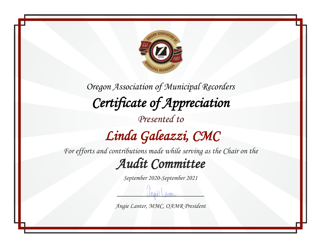

## *Linda Galeazzi, CMC*

*For efforts and contributions made while serving as the Chair on the*

#### *Audit Committee*

*September 2020-September 2021*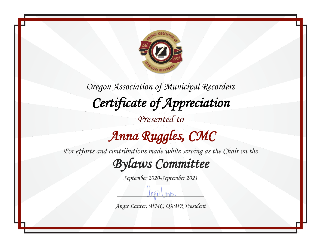

# *Anna Ruggles, CMC*

*For efforts and contributions made while serving as the Chair on the*

*Bylaws Committee* 

*September 2020-September 2021*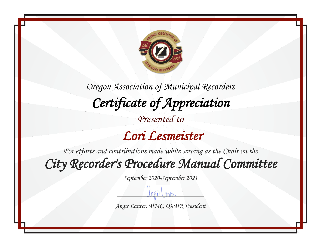

 *Lori Lesmeister* 

*For efforts and contributions made while serving as the Chair on the City Recorder's Procedure Manual Committee* 

*September 2020-September 2021*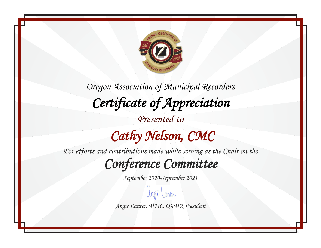

*Oregon Association of Municipal Recorders Certificate of Appreciation Presented to Cathy Nelson, CMC* 

*For efforts and contributions made while serving as the Chair on the*

*Conference Committee* 

*September 2020-September 2021*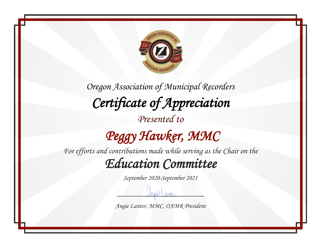

*Oregon Association of Municipal Recorders Certificate of Appreciation Presented to Peggy Hawker, MMC* 

*For efforts and contributions made while serving as the Chair on the Education Committee* 

*September 2020-September 2021*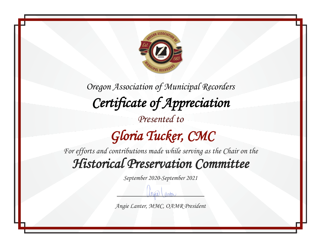

*Oregon Association of Municipal Recorders Certificate of Appreciation Presented to Gloria Tucker, CMC* 

*For efforts and contributions made while serving as the Chair on the Historical Preservation Committee* 

*September 2020-September 2021*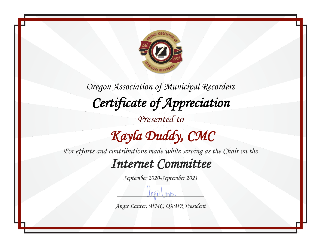

*For efforts and contributions made while serving as the Chair on the*

#### *Internet Committee*

*September 2020-September 2021*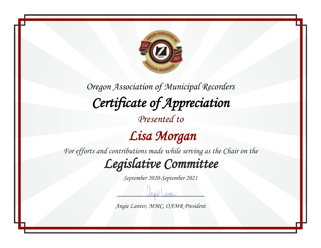

*Presented to*

 *Lisa Morgan* 

*For efforts and contributions made while serving as the Chair on the*

*Legislative Committee* 

*September 2020-September 2021*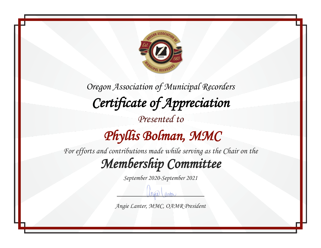

*Oregon Association of Municipal Recorders Certificate of Appreciation Presented to Phyllis Bolman, MMC For efforts and contributions made while serving as the Chair on the*

*Membership Committee* 

*September 2020-September 2021*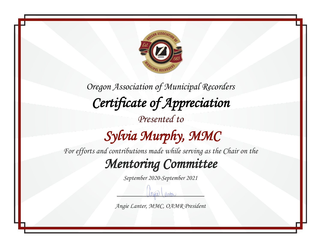

*Oregon Association of Municipal Recorders Certificate of Appreciation Presented to Sylvia Murphy, MMC* 

*For efforts and contributions made while serving as the Chair on the*

*Mentoring Committee* 

*September 2020-September 2021*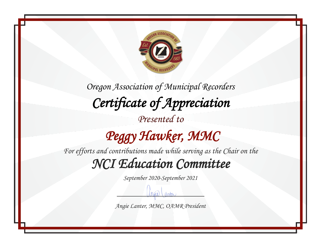

# *Peggy Hawker, MMC*

*For efforts and contributions made while serving as the Chair on the NCI Education Committee* 

*September 2020-September 2021*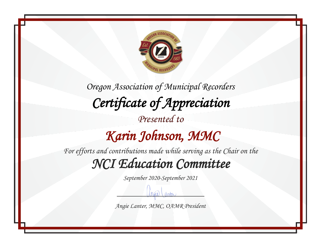

*Oregon Association of Municipal Recorders Certificate of Appreciation Presented to Karin Johnson, MMC For efforts and contributions made while serving as the Chair on the*

*NCI Education Committee* 

*September 2020-September 2021*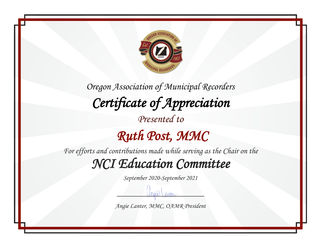

*For efforts and contributions made while serving as the Chair on the NCI Education Committee* 

*September 2020-September 2021*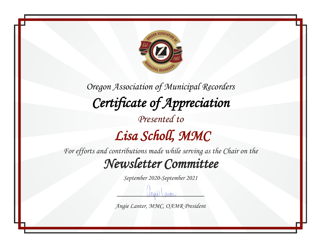

*For efforts and contributions made while serving as the Chair on the Newsletter Committee* 

*September 2020-September 2021*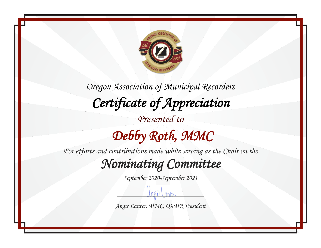

*For efforts and contributions made while serving as the Chair on the Nominating Committee* 

*September 2020-September 2021*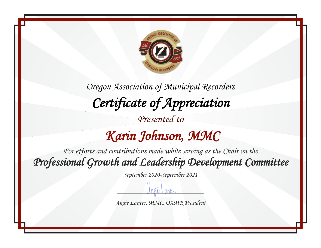

### *Karin Johnson, MMC*

*For efforts and contributions made while serving as the Chair on the Professional Growth and Leadership Development Committee* 

*September 2020-September 2021*

*Angie Lanter, MMC, OAMR President*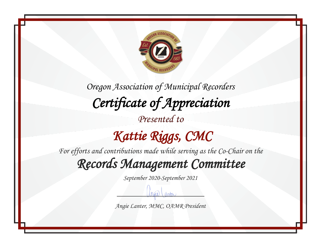

*Presented to*

## *Kattie Riggs, CMC*

*For efforts and contributions made while serving as the Co-Chair on the*

*Records Management Committee* 

*September 2020-September 2021*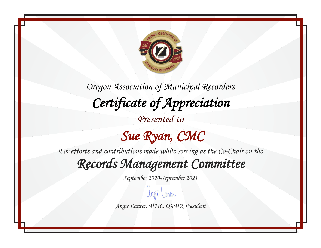

*Presented to*

#### *Sue Ryan, CMC*

*For efforts and contributions made while serving as the Co-Chair on the*

*Records Management Committee* 

*September 2020-September 2021*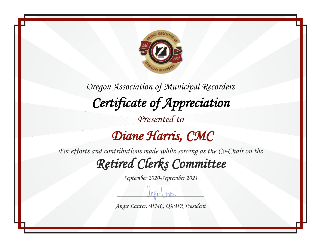

### *Diane Harris, CMC*

*For efforts and contributions made while serving as the Co-Chair on the Retired Clerks Committee* 

*September 2020-September 2021*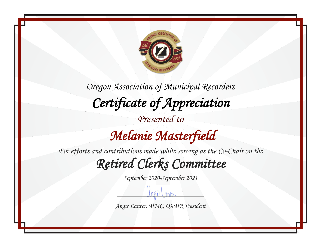

## *Melanie Masterfield*

*For efforts and contributions made while serving as the Co-Chair on the Retired Clerks Committee* 

*September 2020-September 2021*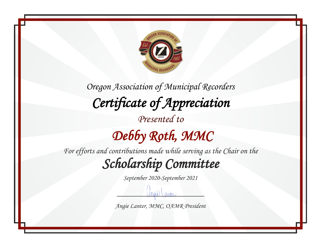

*For efforts and contributions made while serving as the Chair on the Scholarship Committee* 

*September 2020-September 2021*